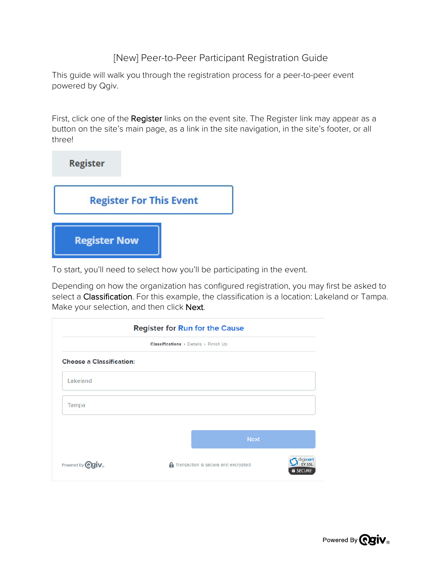## [New] Peer-to-Peer Participant Registration Guide

This guide will walk you through the registration process for a peer-to-peer event powered by Qgiv.

First, click one of the Register links on the event site. The Register link may appear as a button on the site's main page, as a link in the site navigation, in the site's footer, or all three!



To start, you'll need to select how you'll be participating in the event.

Depending on how the organization has configured registration, you may first be asked to select a Classification. For this example, the classification is a location: Lakeland or Tampa. Make your selection, and then click Next.

| Classifications > Details > Finish Up |  |                                               |                           |
|---------------------------------------|--|-----------------------------------------------|---------------------------|
| <b>Choose a Classification:</b>       |  |                                               |                           |
| Lakeland                              |  |                                               |                           |
| Tampa                                 |  |                                               |                           |
|                                       |  |                                               |                           |
|                                       |  | <b>Next</b>                                   |                           |
| Powered By <b><i>egiv</i></b> ®       |  | <b>A</b> Transaction is secure and encrypted. | digicert<br><b>FV SSL</b> |

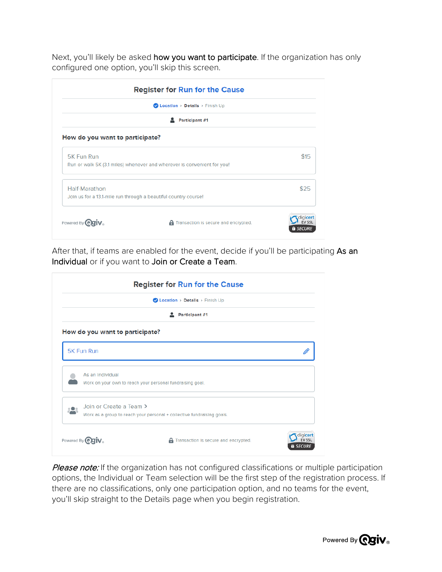Next, you'll likely be asked how you want to participate. If the organization has only configured one option, you'll skip this screen.

| Location > Details > Finish Up                                          |      |
|-------------------------------------------------------------------------|------|
| Participant #1                                                          |      |
| How do you want to participate?                                         |      |
|                                                                         | \$15 |
| Run or walk 5K (3.1 miles) whenever and wherever is convenient for you! |      |
|                                                                         | \$25 |
| Join us for a 13.1-mile run through a beautiful country course!         |      |
|                                                                         |      |
|                                                                         |      |

After that, if teams are enabled for the event, decide if you'll be participating As an Individual or if you want to Join or Create a Team.

|                                                                               | Location > Details > Finish Up                                         |   |
|-------------------------------------------------------------------------------|------------------------------------------------------------------------|---|
|                                                                               | Participant #1                                                         |   |
| How do you want to participate?                                               |                                                                        |   |
| <b>5K Fun Run</b>                                                             |                                                                        | Ø |
|                                                                               |                                                                        |   |
| As an Individual<br>Work on your own to reach your personal fundraising goal. |                                                                        |   |
|                                                                               |                                                                        |   |
| Join or Create a Team >                                                       |                                                                        |   |
|                                                                               | Work as a group to reach your personal + collective fundraising goals. |   |
|                                                                               |                                                                        |   |
| Powered By <b>COTIV</b>                                                       | <b>A</b> Transaction is secure and encrypted.                          |   |

Please note: If the organization has not configured classifications or multiple participation options, the Individual or Team selection will be the first step of the registration process. If there are no classifications, only one participation option, and no teams for the event, you'll skip straight to the Details page when you begin registration.

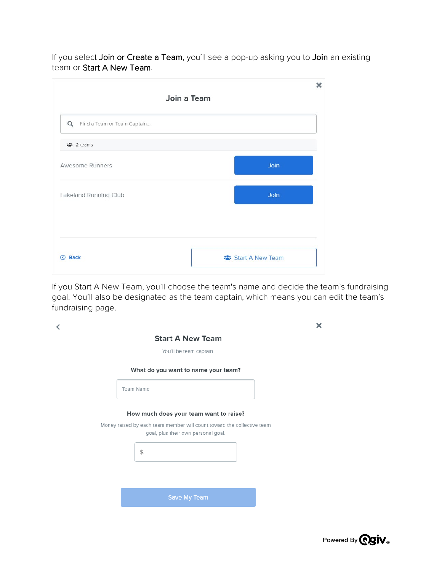If you select Join or Create a Team, you'll see a pop-up asking you to Join an existing team or Start A New Team.

| ×<br>Join a Team   |
|--------------------|
|                    |
|                    |
| Join               |
| Join               |
|                    |
| : Start A New Team |
|                    |

If you Start A New Team, you'll choose the team's name and decide the team's fundraising goal. You'll also be designated as the team captain, which means you can edit the team's fundraising page.

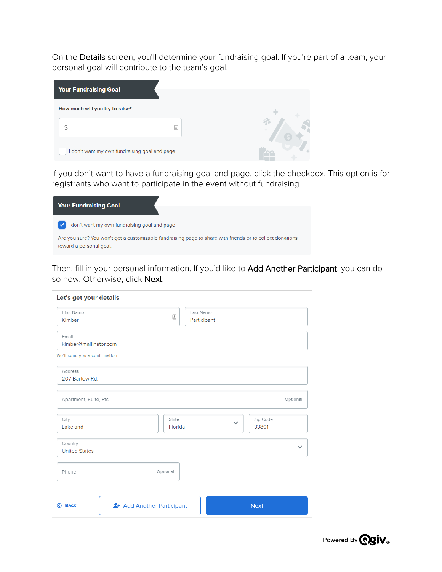On the Details screen, you'll determine your fundraising goal. If you're part of a team, your personal goal will contribute to the team's goal.

| <b>Your Fundraising Goal</b>    |                                             |  |
|---------------------------------|---------------------------------------------|--|
| How much will you try to raise? |                                             |  |
|                                 |                                             |  |
|                                 | don't want my own fundraising goal and page |  |

If you don't want to have a fundraising goal and page, click the checkbox. This option is for registrants who want to participate in the event without fundraising.

| <b>Your Fundraising Goal</b>                                                                                                         |
|--------------------------------------------------------------------------------------------------------------------------------------|
|                                                                                                                                      |
| I don't want my own fundraising goal and page                                                                                        |
| Are you sure? You won't get a customizable fundraising page to share with friends or to collect donations<br>toward a personal goal. |

Then, fill in your personal information. If you'd like to Add Another Participant, you can do so now. Otherwise, click Next.

| First Name                     |                         |          | Last Name   |          |          |
|--------------------------------|-------------------------|----------|-------------|----------|----------|
| Kimber                         |                         | 固        | Participant |          |          |
|                                |                         |          |             |          |          |
| Email                          |                         |          |             |          |          |
| kimber@mailinator.com          |                         |          |             |          |          |
| We'll send you a confirmation. |                         |          |             |          |          |
| <b>Address</b>                 |                         |          |             |          |          |
| 207 Bartow Rd.                 |                         |          |             |          |          |
| Apartment, Suite, Etc.         |                         |          |             |          | Optional |
| City                           |                         | State    |             | Zip Code |          |
| Lakeland                       |                         | Florida  |             | 33801    |          |
| Country                        |                         |          |             |          |          |
| <b>United States</b>           |                         |          |             |          |          |
| Phone                          |                         | Optional |             |          |          |
|                                |                         |          |             |          |          |
|                                |                         |          |             |          |          |
|                                | Add Another Participant |          |             |          |          |

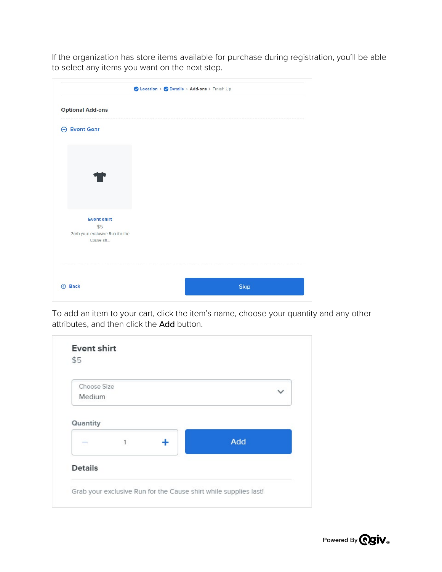If the organization has store items available for purchase during registration, you'll be able to select any items you want on the next step.

|                                 | ● Location > ● Details > Add-ons > Finish Up |  |
|---------------------------------|----------------------------------------------|--|
| <b>Optional Add-ons</b>         |                                              |  |
| <b>Event Gear</b><br>⊖          |                                              |  |
|                                 |                                              |  |
|                                 |                                              |  |
|                                 |                                              |  |
|                                 |                                              |  |
| <b>Event shirt</b>              |                                              |  |
| \$5                             |                                              |  |
| Grab your exclusive Run for the |                                              |  |
| Cause sh                        |                                              |  |
|                                 |                                              |  |
| <b>8</b> Back                   | <b>Skip</b>                                  |  |
|                                 |                                              |  |

To add an item to your cart, click the item's name, choose your quantity and any other attributes, and then click the Add button.

| Choose Size       |   |     |
|-------------------|---|-----|
| Medium            |   |     |
| <b>STATISTICS</b> | 1 | Add |
|                   |   |     |

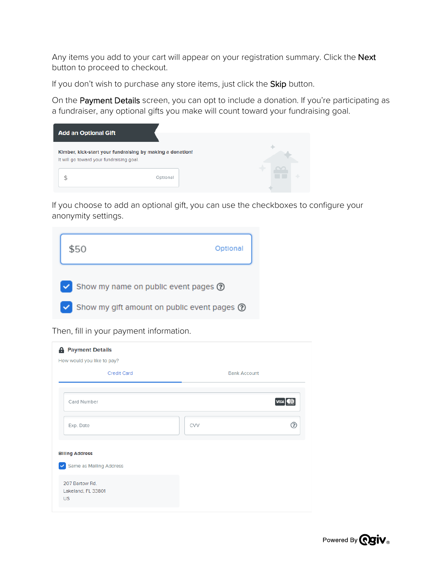Any items you add to your cart will appear on your registration summary. Click the Next button to proceed to checkout.

If you don't wish to purchase any store items, just click the Skip button.

On the Payment Details screen, you can opt to include a donation. If you're participating as a fundraiser, any optional gifts you make will count toward your fundraising goal.

| <b>Add an Optional Gift</b>              |                                                           |  |
|------------------------------------------|-----------------------------------------------------------|--|
| It will go toward your fundraising goal. | Kimber, kick-start your fundraising by making a donation! |  |
|                                          | Optional                                                  |  |

If you choose to add an optional gift, you can use the checkboxes to configure your anonymity settings.



Then, fill in your payment information.

| <b>A</b> Payment Details<br>How would you like to pay?            |                     |  |  |  |
|-------------------------------------------------------------------|---------------------|--|--|--|
| <b>Credit Card</b>                                                | <b>Bank Account</b> |  |  |  |
| Card Number                                                       | <b>VISA</b><br>周    |  |  |  |
| Exp. Date                                                         | ෬<br>CVV            |  |  |  |
| <b>Billing Address</b><br>Same as Mailing Address<br>$\checkmark$ |                     |  |  |  |
| 207 Bartow Rd.<br>Lakeland, FL 33801<br><b>US</b>                 |                     |  |  |  |

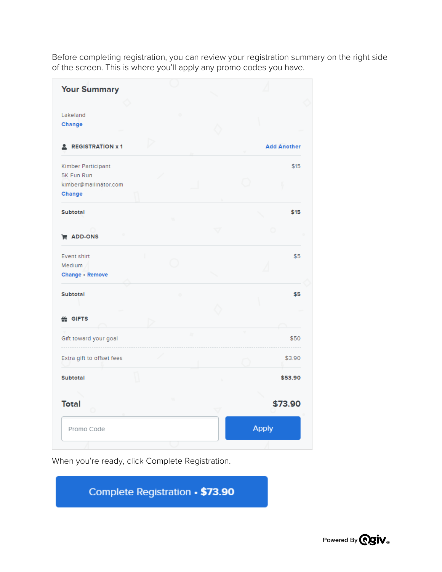Before completing registration, you can review your registration summary on the right side of the screen. This is where you'll apply any promo codes you have.

| <b>Your Summary</b>       |              |  |                    |
|---------------------------|--------------|--|--------------------|
|                           |              |  |                    |
| Lakeland                  |              |  |                    |
| Change                    |              |  |                    |
| <b>2</b> REGISTRATION x 1 |              |  | <b>Add Another</b> |
| Kimber Participant        |              |  | \$15               |
| 5K Fun Run                |              |  |                    |
| kimber@mailinator.com     |              |  |                    |
| <b>Change</b>             |              |  |                    |
| <b>Subtotal</b>           |              |  | \$15               |
|                           |              |  |                    |
| <b>E</b> ADD-ONS          |              |  |                    |
| Event shirt               |              |  | \$5                |
| Medium                    |              |  |                    |
| Change · Remove           |              |  |                    |
| <b>Subtotal</b>           |              |  | \$5                |
|                           |              |  |                    |
|                           |              |  |                    |
| 쓾 GIFTS                   |              |  |                    |
| Gift toward your goal     |              |  | \$50               |
| Extra gift to offset fees |              |  | \$3.90             |
| Subtotal                  |              |  | \$53.90            |
|                           |              |  |                    |
| <b>Total</b>              |              |  | \$73.90            |
| Promo Code                | <b>Apply</b> |  |                    |

When you're ready, click Complete Registration.

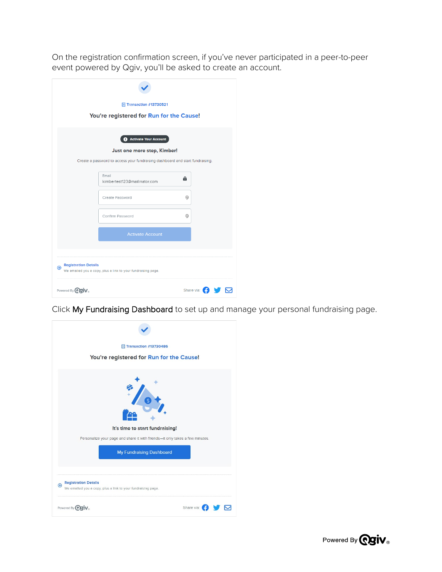On the registration confirmation screen, if you've never participated in a peer-to-peer event powered by Qgiv, you'll be asked to create an account.

|                                     | <b>日 Transaction #13730521</b>                                                |   |                    |
|-------------------------------------|-------------------------------------------------------------------------------|---|--------------------|
|                                     | You're registered for Run for the Cause!                                      |   |                    |
|                                     | Activate Your Account                                                         |   |                    |
|                                     | Just one more step, Kimber!                                                   |   |                    |
|                                     | Create a password to access your fundraising dashboard and start fundraising. |   |                    |
|                                     | Email<br>kimbertest123@mailinator.com                                         | А |                    |
|                                     | Create Password                                                               | ⊛ |                    |
|                                     | Confirm Password                                                              | ⊛ |                    |
|                                     | <b>Activate Account</b>                                                       |   |                    |
|                                     |                                                                               |   |                    |
| <b>Registration Details</b><br>A    | We emailed you a copy, plus a link to your fundraising page.                  |   |                    |
| Powered By <b>Raiv</b> <sub>®</sub> |                                                                               |   | Share via: ( ) V V |

Click My Fundraising Dashboard to set up and manage your personal fundraising page.

| Transaction #13730486                                                                            |
|--------------------------------------------------------------------------------------------------|
| You're registered for Run for the Cause!                                                         |
|                                                                                                  |
| It's time to start fundraising!                                                                  |
| Personalize your page and share it with friends-it only takes a few minutes.                     |
| <b>My Fundraising Dashboard</b>                                                                  |
| <b>Registration Details</b><br>Ð<br>We emailed you a copy, plus a link to your fundraising page. |
| Share via:<br>Powered By <b>ORIV</b> <sub>®</sub>                                                |